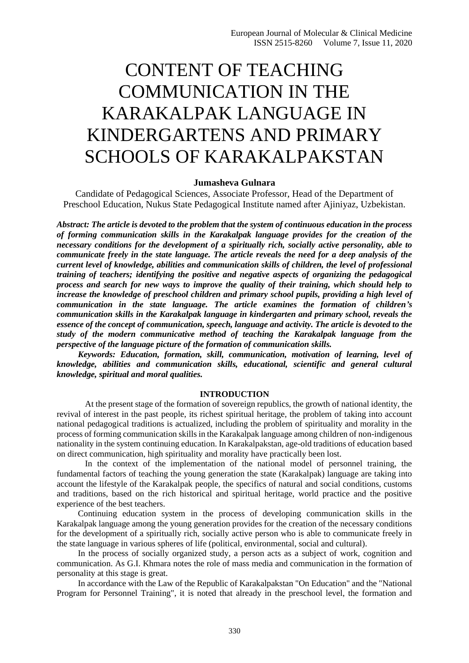# CONTENT OF TEACHING COMMUNICATION IN THE KARAKALPAK LANGUAGE IN KINDERGARTENS AND PRIMARY SCHOOLS OF KARAKALPAKSTAN

#### **Jumasheva Gulnara**

Candidate of Pedagogical Sciences, Associate Professor, Head of the Department of Preschool Education, Nukus State Pedagogical Institute named after Ajiniyaz, Uzbekistan.

*Abstract: The article is devoted to the problem that the system of continuous education in the process of forming communication skills in the Karakalpak language provides for the creation of the necessary conditions for the development of a spiritually rich, socially active personality, able to communicate freely in the state language. The article reveals the need for a deep analysis of the current level of knowledge, abilities and communication skills of children, the level of professional training of teachers; identifying the positive and negative aspects of organizing the pedagogical process and search for new ways to improve the quality of their training, which should help to increase the knowledge of preschool children and primary school pupils, providing a high level of communication in the state language. The article examines the formation of children's communication skills in the Karakalpak language in kindergarten and primary school, reveals the essence of the concept of communication, speech, language and activity. The article is devoted to the study of the modern communicative method of teaching the Karakalpak language from the perspective of the language picture of the formation of communication skills.*

*Keywords: Education, formation, skill, communication, motivation of learning, level of knowledge, abilities and communication skills, educational, scientific and general cultural knowledge, spiritual and moral qualities.* 

## **INTRODUCTION**

At the present stage of the formation of sovereign republics, the growth of national identity, the revival of interest in the past people, its richest spiritual heritage, the problem of taking into account national pedagogical traditions is actualized, including the problem of spirituality and morality in the process of forming communication skills in the Karakalpak language among children of non-indigenous nationality in the system continuing education. In Karakalpakstan, age-old traditions of education based on direct communication, high spirituality and morality have practically been lost.

In the context of the implementation of the national model of personnel training, the fundamental factors of teaching the young generation the state (Karakalpak) language are taking into account the lifestyle of the Karakalpak people, the specifics of natural and social conditions, customs and traditions, based on the rich historical and spiritual heritage, world practice and the positive experience of the best teachers.

Continuing education system in the process of developing communication skills in the Karakalpak language among the young generation provides for the creation of the necessary conditions for the development of a spiritually rich, socially active person who is able to communicate freely in the state language in various spheres of life (political, environmental, social and cultural).

In the process of socially organized study, a person acts as a subject of work, cognition and communication. As G.I. Khmara notes the role of mass media and communication in the formation of personality at this stage is great.

In accordance with the Law of the Republic of Karakalpakstan "On Education" and the "National Program for Personnel Training", it is noted that already in the preschool level, the formation and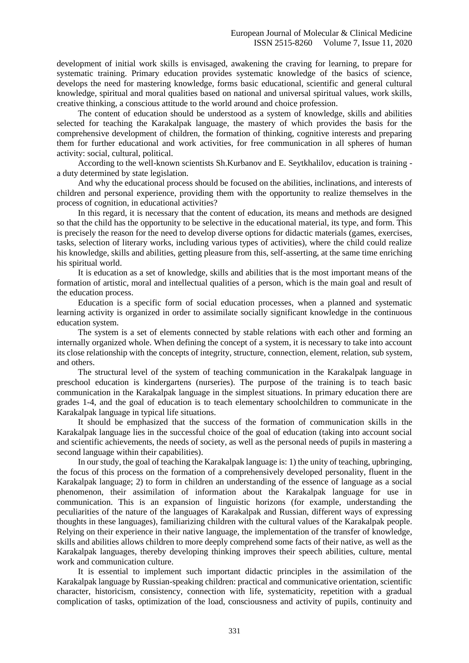development of initial work skills is envisaged, awakening the craving for learning, to prepare for systematic training. Primary education provides systematic knowledge of the basics of science, develops the need for mastering knowledge, forms basic educational, scientific and general cultural knowledge, spiritual and moral qualities based on national and universal spiritual values, work skills, creative thinking, a conscious attitude to the world around and choice profession.

The content of education should be understood as a system of knowledge, skills and abilities selected for teaching the Karakalpak language, the mastery of which provides the basis for the comprehensive development of children, the formation of thinking, cognitive interests and preparing them for further educational and work activities, for free communication in all spheres of human activity: social, cultural, political.

According to the well-known scientists Sh.Kurbanov and E. Seytkhalilov, education is training a duty determined by state legislation.

And why the educational process should be focused on the abilities, inclinations, and interests of children and personal experience, providing them with the opportunity to realize themselves in the process of cognition, in educational activities?

In this regard, it is necessary that the content of education, its means and methods are designed so that the child has the opportunity to be selective in the educational material, its type, and form. This is precisely the reason for the need to develop diverse options for didactic materials (games, exercises, tasks, selection of literary works, including various types of activities), where the child could realize his knowledge, skills and abilities, getting pleasure from this, self-asserting, at the same time enriching his spiritual world.

It is education as a set of knowledge, skills and abilities that is the most important means of the formation of artistic, moral and intellectual qualities of a person, which is the main goal and result of the education process.

Education is a specific form of social education processes, when a planned and systematic learning activity is organized in order to assimilate socially significant knowledge in the continuous education system.

The system is a set of elements connected by stable relations with each other and forming an internally organized whole. When defining the concept of a system, it is necessary to take into account its close relationship with the concepts of integrity, structure, connection, element, relation, sub system, and others.

The structural level of the system of teaching communication in the Karakalpak language in preschool education is kindergartens (nurseries). The purpose of the training is to teach basic communication in the Karakalpak language in the simplest situations. In primary education there are grades 1-4, and the goal of education is to teach elementary schoolchildren to communicate in the Karakalpak language in typical life situations.

It should be emphasized that the success of the formation of communication skills in the Karakalpak language lies in the successful choice of the goal of education (taking into account social and scientific achievements, the needs of society, as well as the personal needs of pupils in mastering a second language within their capabilities).

In our study, the goal of teaching the Karakalpak language is: 1) the unity of teaching, upbringing, the focus of this process on the formation of a comprehensively developed personality, fluent in the Karakalpak language; 2) to form in children an understanding of the essence of language as a social phenomenon, their assimilation of information about the Karakalpak language for use in communication. This is an expansion of linguistic horizons (for example, understanding the peculiarities of the nature of the languages of Karakalpak and Russian, different ways of expressing thoughts in these languages), familiarizing children with the cultural values of the Karakalpak people. Relying on their experience in their native language, the implementation of the transfer of knowledge, skills and abilities allows children to more deeply comprehend some facts of their native, as well as the Karakalpak languages, thereby developing thinking improves their speech abilities, culture, mental work and communication culture.

It is essential to implement such important didactic principles in the assimilation of the Karakalpak language by Russian-speaking children: practical and communicative orientation, scientific character, historicism, consistency, connection with life, systematicity, repetition with a gradual complication of tasks, optimization of the load, consciousness and activity of pupils, continuity and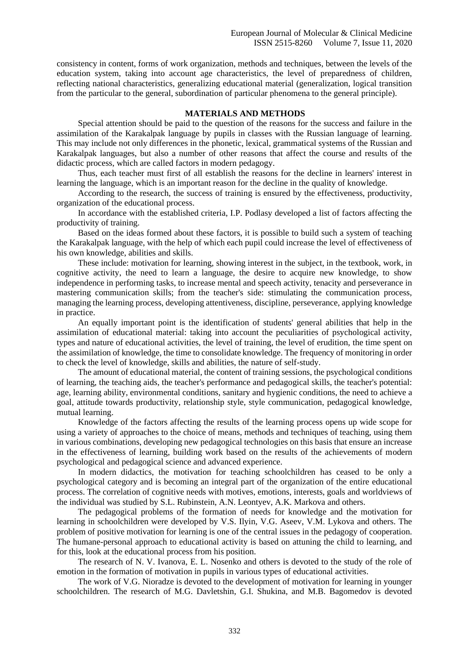consistency in content, forms of work organization, methods and techniques, between the levels of the education system, taking into account age characteristics, the level of preparedness of children, reflecting national characteristics, generalizing educational material (generalization, logical transition from the particular to the general, subordination of particular phenomena to the general principle).

## **MATERIALS AND METHODS**

Special attention should be paid to the question of the reasons for the success and failure in the assimilation of the Karakalpak language by pupils in classes with the Russian language of learning. This may include not only differences in the phonetic, lexical, grammatical systems of the Russian and Karakalpak languages, but also a number of other reasons that affect the course and results of the didactic process, which are called factors in modern pedagogy.

Thus, each teacher must first of all establish the reasons for the decline in learners' interest in learning the language, which is an important reason for the decline in the quality of knowledge.

According to the research, the success of training is ensured by the effectiveness, productivity, organization of the educational process.

In accordance with the established criteria, I.P. Podlasy developed a list of factors affecting the productivity of training.

Based on the ideas formed about these factors, it is possible to build such a system of teaching the Karakalpak language, with the help of which each pupil could increase the level of effectiveness of his own knowledge, abilities and skills.

These include: motivation for learning, showing interest in the subject, in the textbook, work, in cognitive activity, the need to learn a language, the desire to acquire new knowledge, to show independence in performing tasks, to increase mental and speech activity, tenacity and perseverance in mastering communication skills; from the teacher's side: stimulating the communication process, managing the learning process, developing attentiveness, discipline, perseverance, applying knowledge in practice.

An equally important point is the identification of students' general abilities that help in the assimilation of educational material: taking into account the peculiarities of psychological activity, types and nature of educational activities, the level of training, the level of erudition, the time spent on the assimilation of knowledge, the time to consolidate knowledge. The frequency of monitoring in order to check the level of knowledge, skills and abilities, the nature of self-study.

The amount of educational material, the content of training sessions, the psychological conditions of learning, the teaching aids, the teacher's performance and pedagogical skills, the teacher's potential: age, learning ability, environmental conditions, sanitary and hygienic conditions, the need to achieve a goal, attitude towards productivity, relationship style, style communication, pedagogical knowledge, mutual learning.

Knowledge of the factors affecting the results of the learning process opens up wide scope for using a variety of approaches to the choice of means, methods and techniques of teaching, using them in various combinations, developing new pedagogical technologies on this basis that ensure an increase in the effectiveness of learning, building work based on the results of the achievements of modern psychological and pedagogical science and advanced experience.

In modern didactics, the motivation for teaching schoolchildren has ceased to be only a psychological category and is becoming an integral part of the organization of the entire educational process. The correlation of cognitive needs with motives, emotions, interests, goals and worldviews of the individual was studied by S.L. Rubinstein, A.N. Leontyev, A.K. Markova and others.

The pedagogical problems of the formation of needs for knowledge and the motivation for learning in schoolchildren were developed by V.S. Ilyin, V.G. Aseev, V.M. Lykova and others. The problem of positive motivation for learning is one of the central issues in the pedagogy of cooperation. The humane-personal approach to educational activity is based on attuning the child to learning, and for this, look at the educational process from his position.

The research of N. V. Ivanova, E. L. Nosenko and others is devoted to the study of the role of emotion in the formation of motivation in pupils in various types of educational activities.

The work of V.G. Nioradze is devoted to the development of motivation for learning in younger schoolchildren. The research of M.G. Davletshin, G.I. Shukina, and M.B. Bagomedov is devoted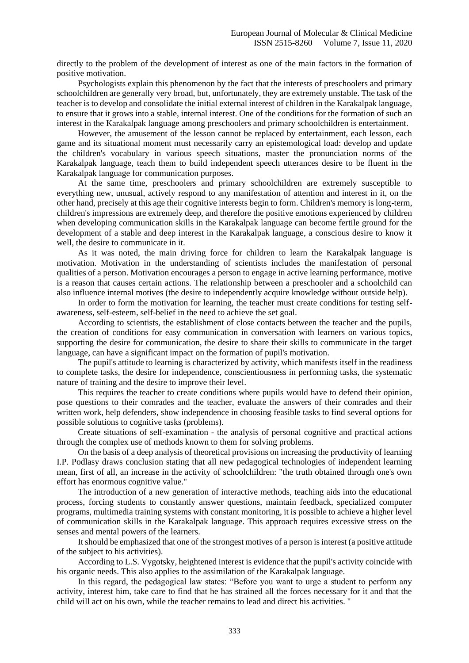directly to the problem of the development of interest as one of the main factors in the formation of positive motivation.

Psychologists explain this phenomenon by the fact that the interests of preschoolers and primary schoolchildren are generally very broad, but, unfortunately, they are extremely unstable. The task of the teacher is to develop and consolidate the initial external interest of children in the Karakalpak language, to ensure that it grows into a stable, internal interest. One of the conditions for the formation of such an interest in the Karakalpak language among preschoolers and primary schoolchildren is entertainment.

However, the amusement of the lesson cannot be replaced by entertainment, each lesson, each game and its situational moment must necessarily carry an epistemological load: develop and update the children's vocabulary in various speech situations, master the pronunciation norms of the Karakalpak language, teach them to build independent speech utterances desire to be fluent in the Karakalpak language for communication purposes.

At the same time, preschoolers and primary schoolchildren are extremely susceptible to everything new, unusual, actively respond to any manifestation of attention and interest in it, on the other hand, precisely at this age their cognitive interests begin to form. Children's memory is long-term, children's impressions are extremely deep, and therefore the positive emotions experienced by children when developing communication skills in the Karakalpak language can become fertile ground for the development of a stable and deep interest in the Karakalpak language, a conscious desire to know it well, the desire to communicate in it.

As it was noted, the main driving force for children to learn the Karakalpak language is motivation. Motivation in the understanding of scientists includes the manifestation of personal qualities of a person. Motivation encourages a person to engage in active learning performance, motive is a reason that causes certain actions. The relationship between a preschooler and a schoolchild can also influence internal motives (the desire to independently acquire knowledge without outside help).

In order to form the motivation for learning, the teacher must create conditions for testing selfawareness, self-esteem, self-belief in the need to achieve the set goal.

According to scientists, the establishment of close contacts between the teacher and the pupils, the creation of conditions for easy communication in conversation with learners on various topics, supporting the desire for communication, the desire to share their skills to communicate in the target language, can have a significant impact on the formation of pupil's motivation.

The pupil's attitude to learning is characterized by activity, which manifests itself in the readiness to complete tasks, the desire for independence, conscientiousness in performing tasks, the systematic nature of training and the desire to improve their level.

This requires the teacher to create conditions where pupils would have to defend their opinion, pose questions to their comrades and the teacher, evaluate the answers of their comrades and their written work, help defenders, show independence in choosing feasible tasks to find several options for possible solutions to cognitive tasks (problems).

Create situations of self-examination - the analysis of personal cognitive and practical actions through the complex use of methods known to them for solving problems.

On the basis of a deep analysis of theoretical provisions on increasing the productivity of learning I.P. Podlasy draws conclusion stating that all new pedagogical technologies of independent learning mean, first of all, an increase in the activity of schoolchildren: "the truth obtained through one's own effort has enormous cognitive value."

The introduction of a new generation of interactive methods, teaching aids into the educational process, forcing students to constantly answer questions, maintain feedback, specialized computer programs, multimedia training systems with constant monitoring, it is possible to achieve a higher level of communication skills in the Karakalpak language. This approach requires excessive stress on the senses and mental powers of the learners.

It should be emphasized that one of the strongest motives of a person is interest (a positive attitude of the subject to his activities).

According to L.S. Vygotsky, heightened interest is evidence that the pupil's activity coincide with his organic needs. This also applies to the assimilation of the Karakalpak language.

In this regard, the pedagogical law states: "Before you want to urge a student to perform any activity, interest him, take care to find that he has strained all the forces necessary for it and that the child will act on his own, while the teacher remains to lead and direct his activities. "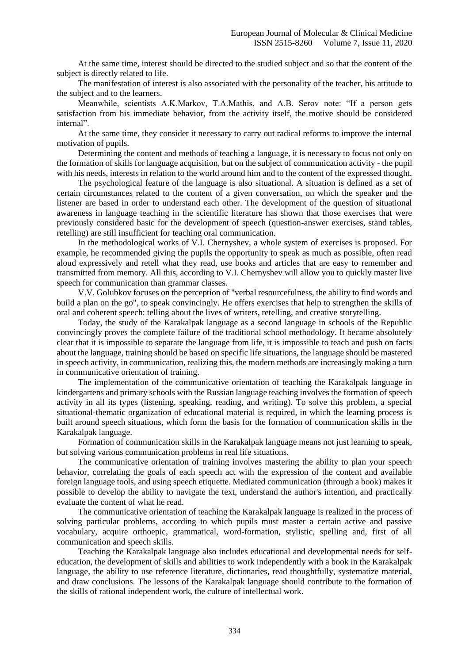At the same time, interest should be directed to the studied subject and so that the content of the subject is directly related to life.

The manifestation of interest is also associated with the personality of the teacher, his attitude to the subject and to the learners.

Meanwhile, scientists A.K.Markov, T.A.Mathis, and A.B. Serov note: "If a person gets satisfaction from his immediate behavior, from the activity itself, the motive should be considered internal".

At the same time, they consider it necessary to carry out radical reforms to improve the internal motivation of pupils.

Determining the content and methods of teaching a language, it is necessary to focus not only on the formation of skills for language acquisition, but on the subject of communication activity - the pupil with his needs, interests in relation to the world around him and to the content of the expressed thought.

The psychological feature of the language is also situational. A situation is defined as a set of certain circumstances related to the content of a given conversation, on which the speaker and the listener are based in order to understand each other. The development of the question of situational awareness in language teaching in the scientific literature has shown that those exercises that were previously considered basic for the development of speech (question-answer exercises, stand tables, retelling) are still insufficient for teaching oral communication.

In the methodological works of V.I. Chernyshev, a whole system of exercises is proposed. For example, he recommended giving the pupils the opportunity to speak as much as possible, often read aloud expressively and retell what they read, use books and articles that are easy to remember and transmitted from memory. All this, according to V.I. Chernyshev will allow you to quickly master live speech for communication than grammar classes.

V.V. Golubkov focuses on the perception of "verbal resourcefulness, the ability to find words and build a plan on the go", to speak convincingly. He offers exercises that help to strengthen the skills of oral and coherent speech: telling about the lives of writers, retelling, and creative storytelling.

Today, the study of the Karakalpak language as a second language in schools of the Republic convincingly proves the complete failure of the traditional school methodology. It became absolutely clear that it is impossible to separate the language from life, it is impossible to teach and push on facts about the language, training should be based on specific life situations, the language should be mastered in speech activity, in communication, realizing this, the modern methods are increasingly making a turn in communicative orientation of training.

The implementation of the communicative orientation of teaching the Karakalpak language in kindergartens and primary schools with the Russian language teaching involves the formation of speech activity in all its types (listening, speaking, reading, and writing). To solve this problem, a special situational-thematic organization of educational material is required, in which the learning process is built around speech situations, which form the basis for the formation of communication skills in the Karakalpak language.

Formation of communication skills in the Karakalpak language means not just learning to speak, but solving various communication problems in real life situations.

The communicative orientation of training involves mastering the ability to plan your speech behavior, correlating the goals of each speech act with the expression of the content and available foreign language tools, and using speech etiquette. Mediated communication (through a book) makes it possible to develop the ability to navigate the text, understand the author's intention, and practically evaluate the content of what he read.

The communicative orientation of teaching the Karakalpak language is realized in the process of solving particular problems, according to which pupils must master a certain active and passive vocabulary, acquire orthoepic, grammatical, word-formation, stylistic, spelling and, first of all communication and speech skills.

Teaching the Karakalpak language also includes educational and developmental needs for selfeducation, the development of skills and abilities to work independently with a book in the Karakalpak language, the ability to use reference literature, dictionaries, read thoughtfully, systematize material, and draw conclusions. The lessons of the Karakalpak language should contribute to the formation of the skills of rational independent work, the culture of intellectual work.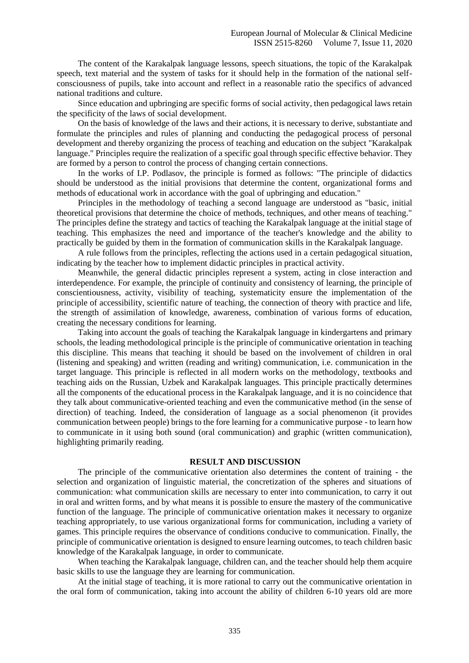The content of the Karakalpak language lessons, speech situations, the topic of the Karakalpak speech, text material and the system of tasks for it should help in the formation of the national selfconsciousness of pupils, take into account and reflect in a reasonable ratio the specifics of advanced national traditions and culture.

Since education and upbringing are specific forms of social activity, then pedagogical laws retain the specificity of the laws of social development.

On the basis of knowledge of the laws and their actions, it is necessary to derive, substantiate and formulate the principles and rules of planning and conducting the pedagogical process of personal development and thereby organizing the process of teaching and education on the subject "Karakalpak language." Principles require the realization of a specific goal through specific effective behavior. They are formed by a person to control the process of changing certain connections.

In the works of I.P. Podlasov, the principle is formed as follows: "The principle of didactics should be understood as the initial provisions that determine the content, organizational forms and methods of educational work in accordance with the goal of upbringing and education."

Principles in the methodology of teaching a second language are understood as "basic, initial theoretical provisions that determine the choice of methods, techniques, and other means of teaching." The principles define the strategy and tactics of teaching the Karakalpak language at the initial stage of teaching. This emphasizes the need and importance of the teacher's knowledge and the ability to practically be guided by them in the formation of communication skills in the Karakalpak language.

A rule follows from the principles, reflecting the actions used in a certain pedagogical situation, indicating by the teacher how to implement didactic principles in practical activity.

Meanwhile, the general didactic principles represent a system, acting in close interaction and interdependence. For example, the principle of continuity and consistency of learning, the principle of conscientiousness, activity, visibility of teaching, systematicity ensure the implementation of the principle of accessibility, scientific nature of teaching, the connection of theory with practice and life, the strength of assimilation of knowledge, awareness, combination of various forms of education, creating the necessary conditions for learning.

Taking into account the goals of teaching the Karakalpak language in kindergartens and primary schools, the leading methodological principle is the principle of communicative orientation in teaching this discipline. This means that teaching it should be based on the involvement of children in oral (listening and speaking) and written (reading and writing) communication, i.e. communication in the target language. This principle is reflected in all modern works on the methodology, textbooks and teaching aids on the Russian, Uzbek and Karakalpak languages. This principle practically determines all the components of the educational process in the Karakalpak language, and it is no coincidence that they talk about communicative-oriented teaching and even the communicative method (in the sense of direction) of teaching. Indeed, the consideration of language as a social phenomenon (it provides communication between people) brings to the fore learning for a communicative purpose - to learn how to communicate in it using both sound (oral communication) and graphic (written communication), highlighting primarily reading.

#### **RESULT AND DISCUSSION**

The principle of the communicative orientation also determines the content of training - the selection and organization of linguistic material, the concretization of the spheres and situations of communication: what communication skills are necessary to enter into communication, to carry it out in oral and written forms, and by what means it is possible to ensure the mastery of the communicative function of the language. The principle of communicative orientation makes it necessary to organize teaching appropriately, to use various organizational forms for communication, including a variety of games. This principle requires the observance of conditions conducive to communication. Finally, the principle of communicative orientation is designed to ensure learning outcomes, to teach children basic knowledge of the Karakalpak language, in order to communicate.

When teaching the Karakalpak language, children can, and the teacher should help them acquire basic skills to use the language they are learning for communication.

At the initial stage of teaching, it is more rational to carry out the communicative orientation in the oral form of communication, taking into account the ability of children 6-10 years old are more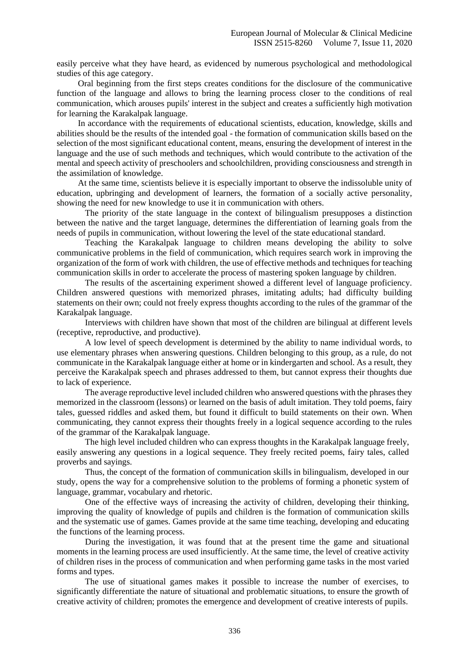easily perceive what they have heard, as evidenced by numerous psychological and methodological studies of this age category.

Oral beginning from the first steps creates conditions for the disclosure of the communicative function of the language and allows to bring the learning process closer to the conditions of real communication, which arouses pupils' interest in the subject and creates a sufficiently high motivation for learning the Karakalpak language.

In accordance with the requirements of educational scientists, education, knowledge, skills and abilities should be the results of the intended goal - the formation of communication skills based on the selection of the most significant educational content, means, ensuring the development of interest in the language and the use of such methods and techniques, which would contribute to the activation of the mental and speech activity of preschoolers and schoolchildren, providing consciousness and strength in the assimilation of knowledge.

At the same time, scientists believe it is especially important to observe the indissoluble unity of education, upbringing and development of learners, the formation of a socially active personality, showing the need for new knowledge to use it in communication with others.

The priority of the state language in the context of bilingualism presupposes a distinction between the native and the target language, determines the differentiation of learning goals from the needs of pupils in communication, without lowering the level of the state educational standard.

Teaching the Karakalpak language to children means developing the ability to solve communicative problems in the field of communication, which requires search work in improving the organization of the form of work with children, the use of effective methods and techniques for teaching communication skills in order to accelerate the process of mastering spoken language by children.

The results of the ascertaining experiment showed a different level of language proficiency. Children answered questions with memorized phrases, imitating adults; had difficulty building statements on their own; could not freely express thoughts according to the rules of the grammar of the Karakalpak language.

Interviews with children have shown that most of the children are bilingual at different levels (receptive, reproductive, and productive).

A low level of speech development is determined by the ability to name individual words, to use elementary phrases when answering questions. Children belonging to this group, as a rule, do not communicate in the Karakalpak language either at home or in kindergarten and school. As a result, they perceive the Karakalpak speech and phrases addressed to them, but cannot express their thoughts due to lack of experience.

The average reproductive level included children who answered questions with the phrases they memorized in the classroom (lessons) or learned on the basis of adult imitation. They told poems, fairy tales, guessed riddles and asked them, but found it difficult to build statements on their own. When communicating, they cannot express their thoughts freely in a logical sequence according to the rules of the grammar of the Karakalpak language.

The high level included children who can express thoughts in the Karakalpak language freely, easily answering any questions in a logical sequence. They freely recited poems, fairy tales, called proverbs and sayings.

Thus, the concept of the formation of communication skills in bilingualism, developed in our study, opens the way for a comprehensive solution to the problems of forming a phonetic system of language, grammar, vocabulary and rhetoric.

One of the effective ways of increasing the activity of children, developing their thinking, improving the quality of knowledge of pupils and children is the formation of communication skills and the systematic use of games. Games provide at the same time teaching, developing and educating the functions of the learning process.

During the investigation, it was found that at the present time the game and situational moments in the learning process are used insufficiently. At the same time, the level of creative activity of children rises in the process of communication and when performing game tasks in the most varied forms and types.

The use of situational games makes it possible to increase the number of exercises, to significantly differentiate the nature of situational and problematic situations, to ensure the growth of creative activity of children; promotes the emergence and development of creative interests of pupils.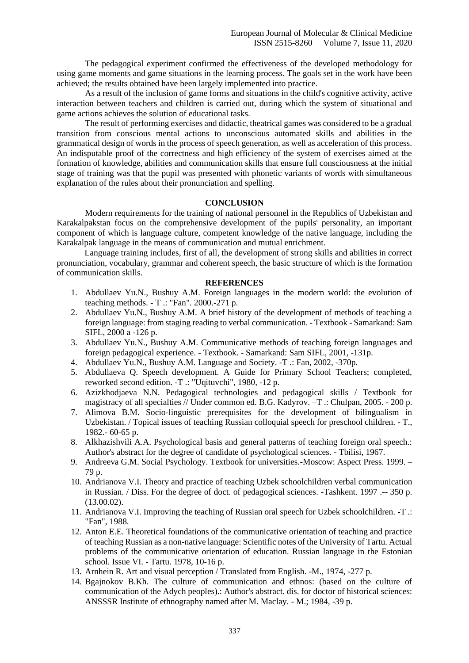The pedagogical experiment confirmed the effectiveness of the developed methodology for using game moments and game situations in the learning process. The goals set in the work have been achieved; the results obtained have been largely implemented into practice.

As a result of the inclusion of game forms and situations in the child's cognitive activity, active interaction between teachers and children is carried out, during which the system of situational and game actions achieves the solution of educational tasks.

The result of performing exercises and didactic, theatrical games was considered to be a gradual transition from conscious mental actions to unconscious automated skills and abilities in the grammatical design of words in the process of speech generation, as well as acceleration of this process. An indisputable proof of the correctness and high efficiency of the system of exercises aimed at the formation of knowledge, abilities and communication skills that ensure full consciousness at the initial stage of training was that the pupil was presented with phonetic variants of words with simultaneous explanation of the rules about their pronunciation and spelling.

# **CONCLUSION**

Modern requirements for the training of national personnel in the Republics of Uzbekistan and Karakalpakstan focus on the comprehensive development of the pupils' personality, an important component of which is language culture, competent knowledge of the native language, including the Karakalpak language in the means of communication and mutual enrichment.

Language training includes, first of all, the development of strong skills and abilities in correct pronunciation, vocabulary, grammar and coherent speech, the basic structure of which is the formation of communication skills.

## **REFERENCES**

- 1. Abdullaev Yu.N., Bushuy A.M. Foreign languages in the modern world: the evolution of teaching methods. - T .: "Fan". 2000.-271 p.
- 2. Abdullaev Yu.N., Bushuy A.M. A brief history of the development of methods of teaching a foreign language: from staging reading to verbal communication. - Textbook - Samarkand: Sam SIFL, 2000 a -126 p.
- 3. Abdullaev Yu.N., Bushuy A.M. Communicative methods of teaching foreign languages and foreign pedagogical experience. - Textbook. - Samarkand: Sam SIFL, 2001, -131p.
- 4. Abdullaev Yu.N., Bushuy A.M. Language and Society. -T .: Fan, 2002, -370p.
- 5. Abdullaeva Q. Speech development. A Guide for Primary School Teachers; completed, reworked second edition. -T .: "Uqituvchi", 1980, -12 p.
- 6. Azizkhodjaeva N.N. Pedagogical technologies and pedagogical skills / Textbook for magistracy of all specialties // Under common ed. B.G. Kadyrov. –T .: Chulpan, 2005. - 200 p.
- 7. Alimova B.M. Socio-linguistic prerequisites for the development of bilingualism in Uzbekistan. / Topical issues of teaching Russian colloquial speech for preschool children. - T., 1982.- 60-65 p.
- 8. Alkhazishvili A.A. Psychological basis and general patterns of teaching foreign oral speech.: Author's abstract for the degree of candidate of psychological sciences. - Tbilisi, 1967.
- 9. Andreeva G.M. Social Psychology. Textbook for universities.-Moscow: Aspect Press. 1999. 79 p.
- 10. Andrianova V.I. Theory and practice of teaching Uzbek schoolchildren verbal communication in Russian. / Diss. For the degree of doct. of pedagogical sciences. -Tashkent. 1997 .-- 350 p. (13.00.02).
- 11. Andrianova V.I. Improving the teaching of Russian oral speech for Uzbek schoolchildren. -T .: "Fan", 1988.
- 12. Anton E.E. Theoretical foundations of the communicative orientation of teaching and practice of teaching Russian as a non-native language: Scientific notes of the University of Tartu. Actual problems of the communicative orientation of education. Russian language in the Estonian school. Issue VI. - Tartu. 1978, 10-16 p.
- 13. Arnhein R. Art and visual perception / Translated from English. -M., 1974, -277 p.
- 14. Bgajnokov B.Kh. The culture of communication and ethnos: (based on the culture of communication of the Adych peoples).: Author's abstract. dis. for doctor of historical sciences: ANSSSR Institute of ethnography named after M. Maclay. - M.; 1984, -39 p.